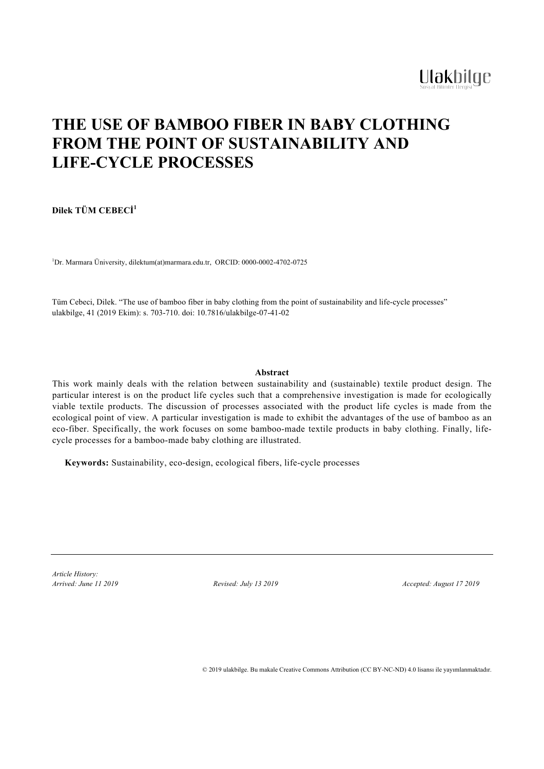# **THE USE OF BAMBOO FIBER IN BABY CLOTHING FROM THE POINT OF SUSTAINABILITY AND LIFE-CYCLE PROCESSES**

**Dilek TÜM CEBECİ 1**

1 Dr. Marmara Üniversity, dilektum(at)marmara.edu.tr, ORCID: 0000-0002-4702-0725

Tüm Cebeci, Dilek. "The use of bamboo fiber in baby clothing from the point of sustainability and life-cycle processes" ulakbilge, 41 (2019 Ekim): s. 703-710. doi: 10.7816/ulakbilge-07-41-02

## **Abstract**

This work mainly deals with the relation between sustainability and (sustainable) textile product design. The particular interest is on the product life cycles such that a comprehensive investigation is made for ecologically viable textile products. The discussion of processes associated with the product life cycles is made from the ecological point of view. A particular investigation is made to exhibit the advantages of the use of bamboo as an eco-fiber. Specifically, the work focuses on some bamboo-made textile products in baby clothing. Finally, lifecycle processes for a bamboo-made baby clothing are illustrated.

**Keywords:** Sustainability, eco-design, ecological fibers, life-cycle processes

*Article History:*

*Arrived: June 11 2019 Revised: July 13 2019 Accepted: August 17 2019*

© 2019 ulakbilge. Bu makale Creative Commons Attribution (CC BY-NC-ND) 4.0 lisansı ile yayımlanmaktadır.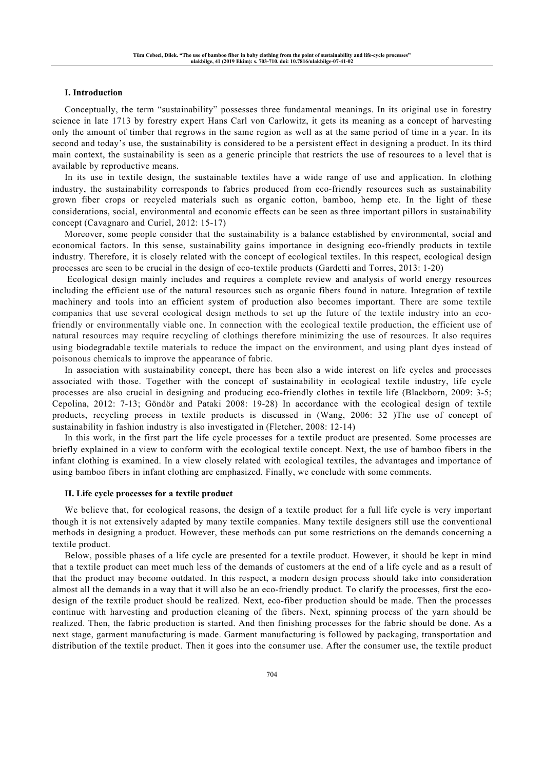## **I. Introduction**

Conceptually, the term "sustainability" possesses three fundamental meanings. In its original use in forestry science in late 1713 by forestry expert Hans Carl von Carlowitz, it gets its meaning as a concept of harvesting only the amount of timber that regrows in the same region as well as at the same period of time in a year. In its second and today's use, the sustainability is considered to be a persistent effect in designing a product. In its third main context, the sustainability is seen as a generic principle that restricts the use of resources to a level that is available by reproductive means.

In its use in textile design, the sustainable textiles have a wide range of use and application. In clothing industry, the sustainability corresponds to fabrics produced from eco-friendly resources such as sustainability grown fiber crops or recycled materials such as organic cotton, bamboo, hemp etc. In the light of these considerations, social, environmental and economic effects can be seen as three important pillors in sustainability concept (Cavagnaro and Curiel, 2012: 15-17)

Moreover, some people consider that the sustainability is a balance established by environmental, social and economical factors. In this sense, sustainability gains importance in designing eco-friendly products in textile industry. Therefore, it is closely related with the concept of ecological textiles. In this respect, ecological design processes are seen to be crucial in the design of eco-textile products (Gardetti and Torres, 2013: 1-20)

Ecological design mainly includes and requires a complete review and analysis of world energy resources including the efficient use of the natural resources such as organic fibers found in nature. Integration of textile machinery and tools into an efficient system of production also becomes important. There are some textile companies that use several ecological design methods to set up the future of the textile industry into an ecofriendly or environmentally viable one. In connection with the ecological textile production, the efficient use of natural resources may require recycling of clothings therefore minimizing the use of resources. It also requires using biodegradable textile materials to reduce the impact on the environment, and using plant dyes instead of poisonous chemicals to improve the appearance of fabric.

In association with sustainability concept, there has been also a wide interest on life cycles and processes associated with those. Together with the concept of sustainability in ecological textile industry, life cycle processes are also crucial in designing and producing eco-friendly clothes in textile life (Blackborn, 2009: 3-5; Cepolina, 2012: 7-13; Göndör and Pataki 2008: 19-28) In accordance with the ecological design of textile products, recycling process in textile products is discussed in (Wang, 2006: 32 )The use of concept of sustainability in fashion industry is also investigated in (Fletcher, 2008: 12-14)

In this work, in the first part the life cycle processes for a textile product are presented. Some processes are briefly explained in a view to conform with the ecological textile concept. Next, the use of bamboo fibers in the infant clothing is examined. In a view closely related with ecological textiles, the advantages and importance of using bamboo fibers in infant clothing are emphasized. Finally, we conclude with some comments.

## **II. Life cycle processes for a textile product**

We believe that, for ecological reasons, the design of a textile product for a full life cycle is very important though it is not extensively adapted by many textile companies. Many textile designers still use the conventional methods in designing a product. However, these methods can put some restrictions on the demands concerning a textile product.

Below, possible phases of a life cycle are presented for a textile product. However, it should be kept in mind that a textile product can meet much less of the demands of customers at the end of a life cycle and as a result of that the product may become outdated. In this respect, a modern design process should take into consideration almost all the demands in a way that it will also be an eco-friendly product. To clarify the processes, first the ecodesign of the textile product should be realized. Next, eco-fiber production should be made. Then the processes continue with harvesting and production cleaning of the fibers. Next, spinning process of the yarn should be realized. Then, the fabric production is started. And then finishing processes for the fabric should be done. As a next stage, garment manufacturing is made. Garment manufacturing is followed by packaging, transportation and distribution of the textile product. Then it goes into the consumer use. After the consumer use, the textile product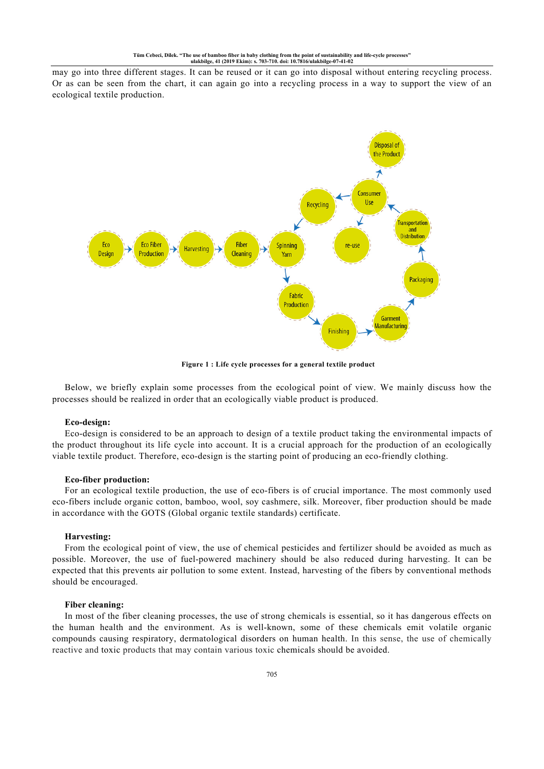may go into three different stages. It can be reused or it can go into disposal without entering recycling process. Or as can be seen from the chart, it can again go into a recycling process in a way to support the view of an ecological textile production.



**Figure 1 : Life cycle processes for a general textile product**

Below, we briefly explain some processes from the ecological point of view. We mainly discuss how the processes should be realized in order that an ecologically viable product is produced.

#### **Eco-design:**

Eco-design is considered to be an approach to design of a textile product taking the environmental impacts of the product throughout its life cycle into account. It is a crucial approach for the production of an ecologically viable textile product. Therefore, eco-design is the starting point of producing an eco-friendly clothing.

#### **Eco-fiber production:**

For an ecological textile production, the use of eco-fibers is of crucial importance. The most commonly used eco-fibers include organic cotton, bamboo, wool, soy cashmere, silk. Moreover, fiber production should be made in accordance with the GOTS (Global organic textile standards) certificate.

#### **Harvesting:**

From the ecological point of view, the use of chemical pesticides and fertilizer should be avoided as much as possible. Moreover, the use of fuel-powered machinery should be also reduced during harvesting. It can be expected that this prevents air pollution to some extent. Instead, harvesting of the fibers by conventional methods should be encouraged.

## **Fiber cleaning:**

In most of the fiber cleaning processes, the use of strong chemicals is essential, so it has dangerous effects on the human health and the environment. As is well-known, some of these chemicals emit volatile organic compounds causing respiratory, dermatological disorders on human health. In this sense, the use of chemically reactive and toxic products that may contain various toxic chemicals should be avoided.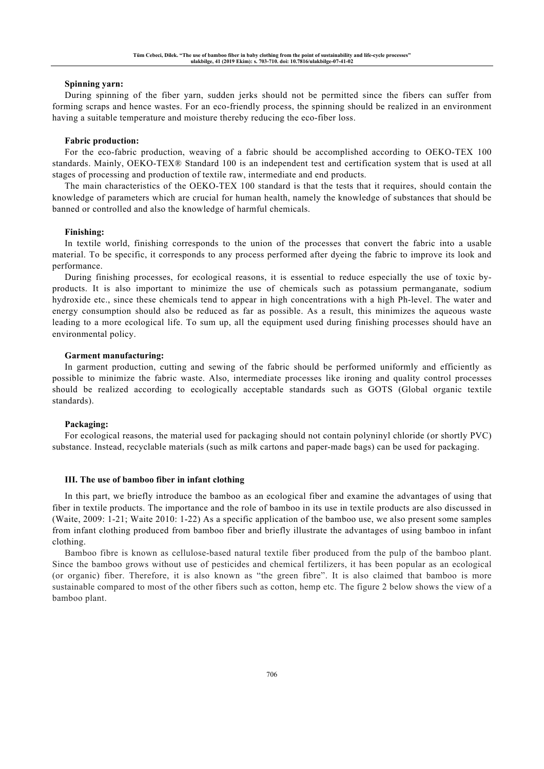## **Spinning yarn:**

During spinning of the fiber yarn, sudden jerks should not be permitted since the fibers can suffer from forming scraps and hence wastes. For an eco-friendly process, the spinning should be realized in an environment having a suitable temperature and moisture thereby reducing the eco-fiber loss.

#### **Fabric production:**

For the eco-fabric production, weaving of a fabric should be accomplished according to OEKO-TEX 100 standards. Mainly, OEKO-TEX® Standard 100 is an independent test and certification system that is used at all stages of processing and production of textile raw, intermediate and end products.

The main characteristics of the OEKO-TEX 100 standard is that the tests that it requires, should contain the knowledge of parameters which are crucial for human health, namely the knowledge of substances that should be banned or controlled and also the knowledge of harmful chemicals.

#### **Finishing:**

In textile world, finishing corresponds to the union of the processes that convert the fabric into a usable material. To be specific, it corresponds to any process performed after dyeing the fabric to improve its look and performance.

During finishing processes, for ecological reasons, it is essential to reduce especially the use of toxic byproducts. It is also important to minimize the use of chemicals such as potassium permanganate, sodium hydroxide etc., since these chemicals tend to appear in high concentrations with a high Ph-level. The water and energy consumption should also be reduced as far as possible. As a result, this minimizes the aqueous waste leading to a more ecological life. To sum up, all the equipment used during finishing processes should have an environmental policy.

#### **Garment manufacturing:**

In garment production, cutting and sewing of the fabric should be performed uniformly and efficiently as possible to minimize the fabric waste. Also, intermediate processes like ironing and quality control processes should be realized according to ecologically acceptable standards such as GOTS (Global organic textile standards).

## **Packaging:**

For ecological reasons, the material used for packaging should not contain polyninyl chloride (or shortly PVC) substance. Instead, recyclable materials (such as milk cartons and paper-made bags) can be used for packaging.

#### **III. The use of bamboo fiber in infant clothing**

In this part, we briefly introduce the bamboo as an ecological fiber and examine the advantages of using that fiber in textile products. The importance and the role of bamboo in its use in textile products are also discussed in (Waite, 2009: 1-21; Waite 2010: 1-22) As a specific application of the bamboo use, we also present some samples from infant clothing produced from bamboo fiber and briefly illustrate the advantages of using bamboo in infant clothing.

Bamboo fibre is known as cellulose-based natural textile fiber produced from the pulp of the bamboo plant. Since the bamboo grows without use of pesticides and chemical fertilizers, it has been popular as an ecological (or organic) fiber. Therefore, it is also known as "the green fibre". It is also claimed that bamboo is more sustainable compared to most of the other fibers such as cotton, hemp etc. The figure 2 below shows the view of a bamboo plant.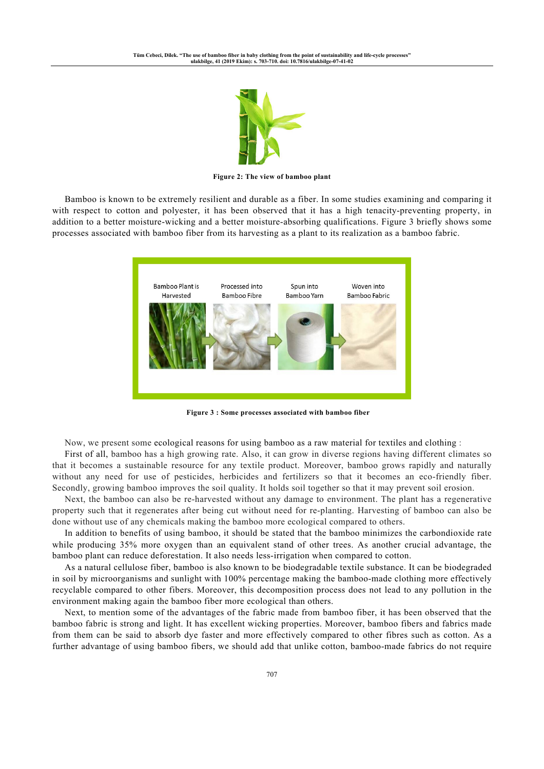

**Figure 2: The view of bamboo plant**

Bamboo is known to be extremely resilient and durable as a fiber. In some studies examining and comparing it with respect to cotton and polyester, it has been observed that it has a high tenacity-preventing property, in addition to a better moisture-wicking and a better moisture-absorbing qualifications. Figure 3 briefly shows some processes associated with bamboo fiber from its harvesting as a plant to its realization as a bamboo fabric.



**Figure 3 : Some processes associated with bamboo fiber**

Now, we present some ecological reasons for using bamboo as a raw material for textiles and clothing :

First of all, bamboo has a high growing rate. Also, it can grow in diverse regions having different climates so that it becomes a sustainable resource for any textile product. Moreover, bamboo grows rapidly and naturally without any need for use of pesticides, herbicides and fertilizers so that it becomes an eco-friendly fiber. Secondly, growing bamboo improves the soil quality. It holds soil together so that it may prevent soil erosion.

Next, the bamboo can also be re-harvested without any damage to environment. The plant has a regenerative property such that it regenerates after being cut without need for re-planting. Harvesting of bamboo can also be done without use of any chemicals making the bamboo more ecological compared to others.

In addition to benefits of using bamboo, it should be stated that the bamboo minimizes the carbondioxide rate while producing 35% more oxygen than an equivalent stand of other trees. As another crucial advantage, the bamboo plant can reduce deforestation. It also needs less-irrigation when compared to cotton.

As a natural cellulose fiber, bamboo is also known to be biodegradable textile substance. It can be biodegraded in soil by microorganisms and sunlight with 100% percentage making the bamboo-made clothing more effectively recyclable compared to other fibers. Moreover, this decomposition process does not lead to any pollution in the environment making again the bamboo fiber more ecological than others.

Next, to mention some of the advantages of the fabric made from bamboo fiber, it has been observed that the bamboo fabric is strong and light. It has excellent wicking properties. Moreover, bamboo fibers and fabrics made from them can be said to absorb dye faster and more effectively compared to other fibres such as cotton. As a further advantage of using bamboo fibers, we should add that unlike cotton, bamboo-made fabrics do not require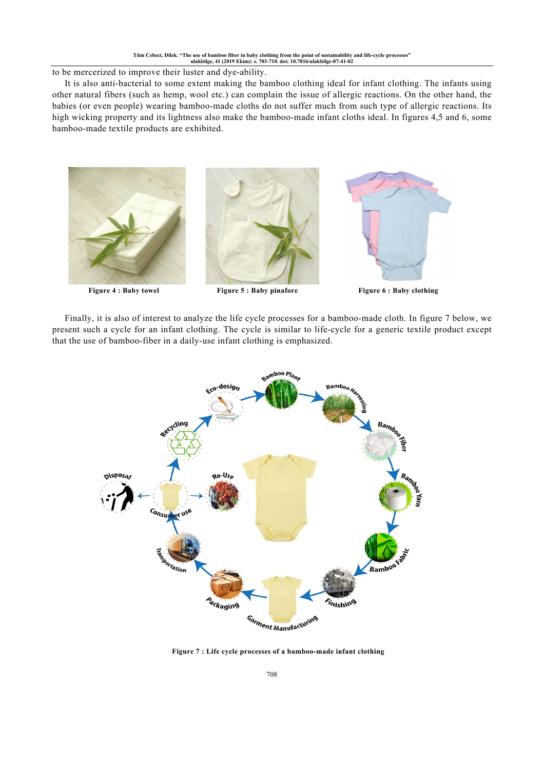to be mercerized to improve their luster and dye-ability.

It is also anti-bacterial to some extent making the bamboo clothing ideal for infant clothing. The infants using other natural fibers (such as hemp, wool etc.) can complain the issue of allergic reactions. On the other hand, the babies (or even people) wearing bamboo-made cloths do not suffer much from such type of allergic reactions. Its high wicking property and its lightness also make the bamboo-made infant cloths ideal. In figures 4,5 and 6, some bamboo-made textile products are exhibited.



Finally, it is also of interest to analyze the life cycle processes for a bamboo-made cloth. In figure 7 below, we present such a cycle for an infant clothing. The cycle is similar to life-cycle for a generic textile product except that the use of bamboo-fiber in a daily-use infant clothing is emphasized.



**Figure 7 : Life cycle processes of a bamboo-made infant clothing**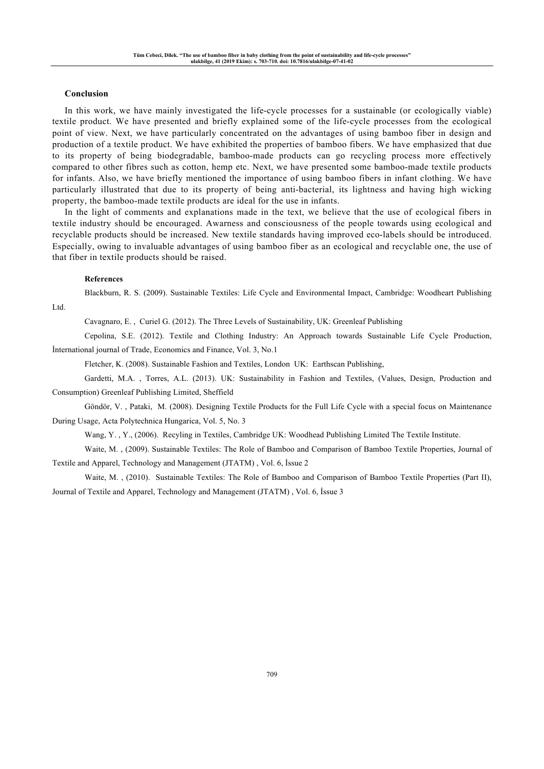## **Conclusion**

In this work, we have mainly investigated the life-cycle processes for a sustainable (or ecologically viable) textile product. We have presented and briefly explained some of the life-cycle processes from the ecological point of view. Next, we have particularly concentrated on the advantages of using bamboo fiber in design and production of a textile product. We have exhibited the properties of bamboo fibers. We have emphasized that due to its property of being biodegradable, bamboo-made products can go recycling process more effectively compared to other fibres such as cotton, hemp etc. Next, we have presented some bamboo-made textile products for infants. Also, we have briefly mentioned the importance of using bamboo fibers in infant clothing. We have particularly illustrated that due to its property of being anti-bacterial, its lightness and having high wicking property, the bamboo-made textile products are ideal for the use in infants.

In the light of comments and explanations made in the text, we believe that the use of ecological fibers in textile industry should be encouraged. Awarness and consciousness of the people towards using ecological and recyclable products should be increased. New textile standards having improved eco-labels should be introduced. Especially, owing to invaluable advantages of using bamboo fiber as an ecological and recyclable one, the use of that fiber in textile products should be raised.

#### **References**

Blackburn, R. S. (2009). Sustainable Textiles: Life Cycle and Environmental Impact, Cambridge: Woodheart Publishing

Ltd.

Cavagnaro, E. , Curiel G. (2012). The Three Levels of Sustainability, UK: Greenleaf Publishing

Cepolina, S.E. (2012). Textile and Clothing Industry: An Approach towards Sustainable Life Cycle Production, İnternational journal of Trade, Economics and Finance, Vol. 3, No.1

Fletcher, K. (2008). Sustainable Fashion and Textiles, London UK: Earthscan Publishing,

Gardetti, M.A. , Torres, A.L. (2013). UK: Sustainability in Fashion and Textiles, (Values, Design, Production and Consumption) Greenleaf Publishing Limited, Sheffield

Göndör, V. , Pataki, M. (2008). Designing Textile Products for the Full Life Cycle with a special focus on Maintenance During Usage, Acta Polytechnica Hungarica, Vol. 5, No. 3

Wang, Y. , Y., (2006). Recyling in Textiles, Cambridge UK: Woodhead Publishing Limited The Textile Institute.

Waite, M. , (2009). Sustainable Textiles: The Role of Bamboo and Comparison of Bamboo Textile Properties, Journal of Textile and Apparel, Technology and Management (JTATM) , Vol. 6, İssue 2

Waite, M., (2010). Sustainable Textiles: The Role of Bamboo and Comparison of Bamboo Textile Properties (Part II), Journal of Textile and Apparel, Technology and Management (JTATM) , Vol. 6, İssue 3